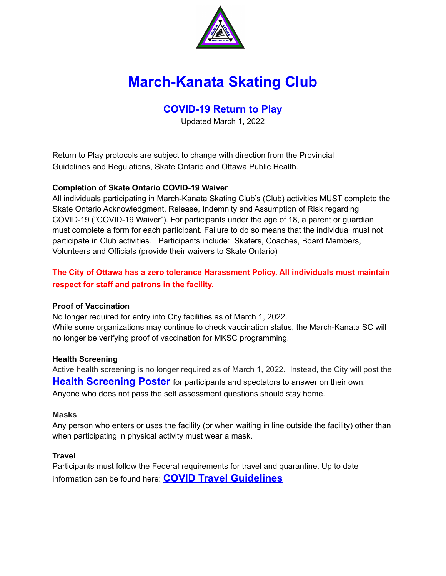

# **March-Kanata Skating Club**

# **COVID-19 Return to Play**

Updated March 1, 2022

Return to Play protocols are subject to change with direction from the Provincial Guidelines and Regulations, Skate Ontario and Ottawa Public Health.

# **Completion of Skate Ontario COVID-19 Waiver**

All individuals participating in March-Kanata Skating Club's (Club) activities MUST complete the Skate Ontario Acknowledgment, Release, Indemnity and Assumption of Risk regarding COVID-19 ("COVID-19 Waiver"). For participants under the age of 18, a parent or guardian must complete a form for each participant. Failure to do so means that the individual must not participate in Club activities. Participants include: Skaters, Coaches, Board Members, Volunteers and Officials (provide their waivers to Skate Ontario)

# **The City of Ottawa has a zero tolerance Harassment Policy. All individuals must maintain respect for staff and patrons in the facility.**

# **Proof of Vaccination**

No longer required for entry into City facilities as of March 1, 2022. While some organizations may continue to check vaccination status, the March-Kanata SC will no longer be verifying proof of vaccination for MKSC programming.

# **Health Screening**

Active health screening is no longer required as of March 1, 2022. Instead, the City will post the **Health [Screening](https://www.ottawapublichealth.ca/en/public-health-topics/resources/Documents/Screening-Tool-Passive-for-Business-EN.pdf) Poster** for participants and spectators to answer on their own. Anyone who does not pass the self assessment questions should stay home.

# **Masks**

Any person who enters or uses the facility (or when waiting in line outside the facility) other than when participating in physical activity must wear a mask.

# **Travel**

Participants must follow the Federal requirements for travel and quarantine. Up to date information can be found here: **COVID Travel [Guidelines](https://travel.gc.ca/travel-covid)**